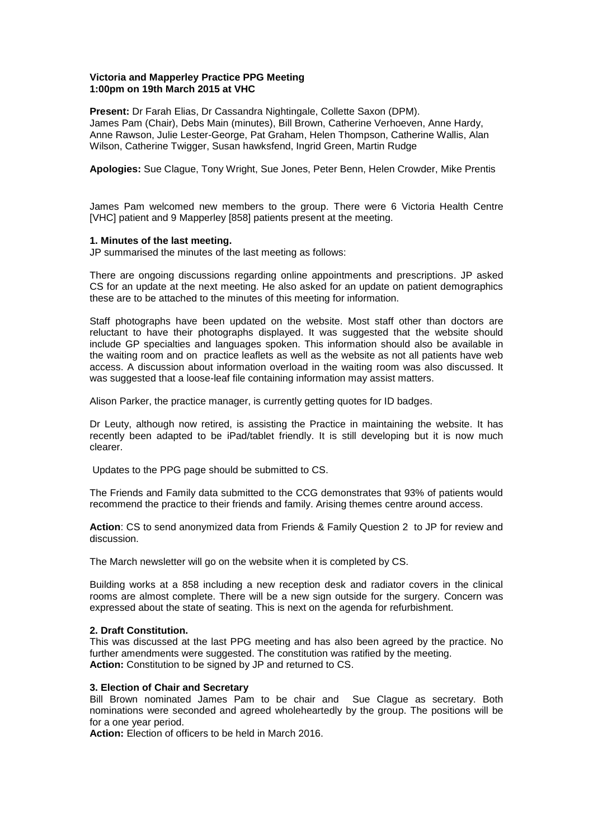# **Victoria and Mapperley Practice PPG Meeting 1:00pm on 19th March 2015 at VHC**

**Present:** Dr Farah Elias, Dr Cassandra Nightingale, Collette Saxon (DPM). James Pam (Chair), Debs Main (minutes), Bill Brown, Catherine Verhoeven, Anne Hardy, Anne Rawson, Julie Lester-George, Pat Graham, Helen Thompson, Catherine Wallis, Alan Wilson, Catherine Twigger, Susan hawksfend, Ingrid Green, Martin Rudge

**Apologies:** Sue Clague, Tony Wright, Sue Jones, Peter Benn, Helen Crowder, Mike Prentis

James Pam welcomed new members to the group. There were 6 Victoria Health Centre [VHC] patient and 9 Mapperley [858] patients present at the meeting.

# **1. Minutes of the last meeting.**

JP summarised the minutes of the last meeting as follows:

There are ongoing discussions regarding online appointments and prescriptions. JP asked CS for an update at the next meeting. He also asked for an update on patient demographics these are to be attached to the minutes of this meeting for information.

Staff photographs have been updated on the website. Most staff other than doctors are reluctant to have their photographs displayed. It was suggested that the website should include GP specialties and languages spoken. This information should also be available in the waiting room and on practice leaflets as well as the website as not all patients have web access. A discussion about information overload in the waiting room was also discussed. It was suggested that a loose-leaf file containing information may assist matters.

Alison Parker, the practice manager, is currently getting quotes for ID badges.

Dr Leuty, although now retired, is assisting the Practice in maintaining the website. It has recently been adapted to be iPad/tablet friendly. It is still developing but it is now much clearer.

Updates to the PPG page should be submitted to CS.

The Friends and Family data submitted to the CCG demonstrates that 93% of patients would recommend the practice to their friends and family. Arising themes centre around access.

**Action**: CS to send anonymized data from Friends & Family Question 2 to JP for review and discussion.

The March newsletter will go on the website when it is completed by CS.

Building works at a 858 including a new reception desk and radiator covers in the clinical rooms are almost complete. There will be a new sign outside for the surgery. Concern was expressed about the state of seating. This is next on the agenda for refurbishment.

## **2. Draft Constitution.**

This was discussed at the last PPG meeting and has also been agreed by the practice. No further amendments were suggested. The constitution was ratified by the meeting. **Action:** Constitution to be signed by JP and returned to CS.

## **3. Election of Chair and Secretary**

Bill Brown nominated James Pam to be chair and Sue Clague as secretary. Both nominations were seconded and agreed wholeheartedly by the group. The positions will be for a one year period.

**Action:** Election of officers to be held in March 2016.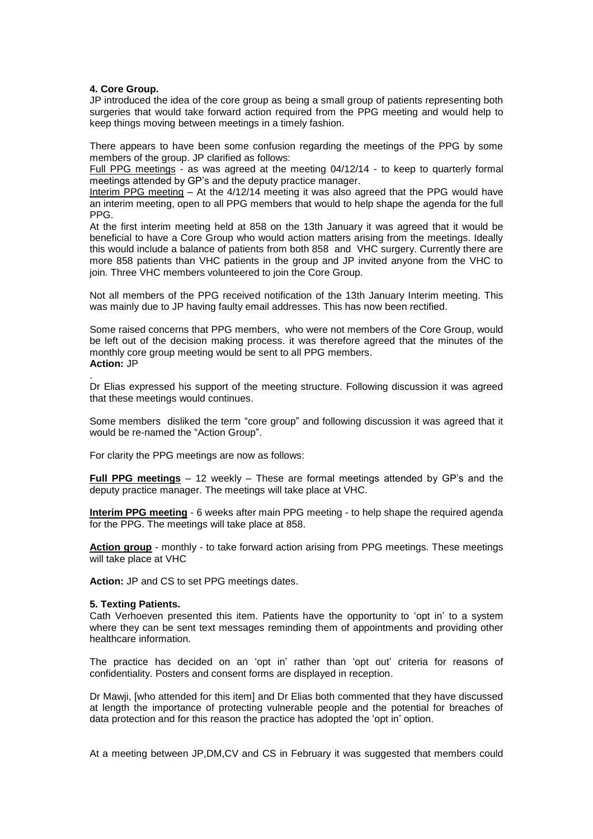## **4. Core Group.**

JP introduced the idea of the core group as being a small group of patients representing both surgeries that would take forward action required from the PPG meeting and would help to keep things moving between meetings in a timely fashion.

There appears to have been some confusion regarding the meetings of the PPG by some members of the group. JP clarified as follows:

Full PPG meetings - as was agreed at the meeting 04/12/14 - to keep to quarterly formal meetings attended by GP's and the deputy practice manager.

Interim PPG meeting – At the 4/12/14 meeting it was also agreed that the PPG would have an interim meeting, open to all PPG members that would to help shape the agenda for the full PPG.

At the first interim meeting held at 858 on the 13th January it was agreed that it would be beneficial to have a Core Group who would action matters arising from the meetings. Ideally this would include a balance of patients from both 858 and VHC surgery. Currently there are more 858 patients than VHC patients in the group and JP invited anyone from the VHC to join. Three VHC members volunteered to join the Core Group.

Not all members of the PPG received notification of the 13th January Interim meeting. This was mainly due to JP having faulty email addresses. This has now been rectified.

Some raised concerns that PPG members, who were not members of the Core Group, would be left out of the decision making process. it was therefore agreed that the minutes of the monthly core group meeting would be sent to all PPG members. **Action:** JP

. Dr Elias expressed his support of the meeting structure. Following discussion it was agreed that these meetings would continues.

Some members disliked the term "core group" and following discussion it was agreed that it would be re-named the "Action Group".

For clarity the PPG meetings are now as follows:

**Full PPG meetings** – 12 weekly – These are formal meetings attended by GP's and the deputy practice manager. The meetings will take place at VHC.

**Interim PPG meeting** - 6 weeks after main PPG meeting - to help shape the required agenda for the PPG. The meetings will take place at 858.

**Action group** - monthly - to take forward action arising from PPG meetings. These meetings will take place at VHC

**Action:** JP and CS to set PPG meetings dates.

#### **5. Texting Patients.**

Cath Verhoeven presented this item. Patients have the opportunity to 'opt in' to a system where they can be sent text messages reminding them of appointments and providing other healthcare information.

The practice has decided on an 'opt in' rather than 'opt out' criteria for reasons of confidentiality. Posters and consent forms are displayed in reception.

Dr Mawji, [who attended for this item] and Dr Elias both commented that they have discussed at length the importance of protecting vulnerable people and the potential for breaches of data protection and for this reason the practice has adopted the 'opt in' option.

At a meeting between JP,DM,CV and CS in February it was suggested that members could